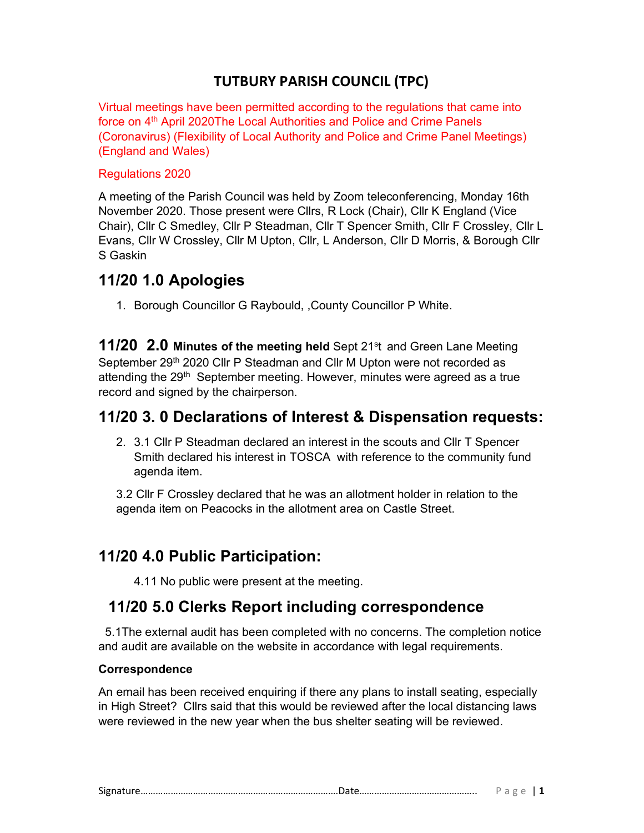### TUTBURY PARISH COUNCIL (TPC)

Virtual meetings have been permitted according to the regulations that came into force on 4<sup>th</sup> April 2020The Local Authorities and Police and Crime Panels (Coronavirus) (Flexibility of Local Authority and Police and Crime Panel Meetings) (England and Wales)

#### Regulations 2020

A meeting of the Parish Council was held by Zoom teleconferencing, Monday 16th November 2020. Those present were Cllrs, R Lock (Chair), Cllr K England (Vice Chair), Cllr C Smedley, Cllr P Steadman, Cllr T Spencer Smith, Cllr F Crossley, Cllr L Evans, Cllr W Crossley, Cllr M Upton, Cllr, L Anderson, Cllr D Morris, & Borough Cllr S Gaskin

### 11/20 1.0 Apologies

1. Borough Councillor G Raybould, ,County Councillor P White.

**11/20 2.0 Minutes of the meeting held** Sept 21<sup>st</sup> and Green Lane Meeting September 29<sup>th</sup> 2020 Cllr P Steadman and Cllr M Upton were not recorded as attending the 29<sup>th</sup> September meeting. However, minutes were agreed as a true record and signed by the chairperson.

### 11/20 3. 0 Declarations of Interest & Dispensation requests:

2. 3.1 Cllr P Steadman declared an interest in the scouts and Cllr T Spencer Smith declared his interest in TOSCA with reference to the community fund agenda item.

3.2 Cllr F Crossley declared that he was an allotment holder in relation to the agenda item on Peacocks in the allotment area on Castle Street.

## 11/20 4.0 Public Participation:

4.11 No public were present at the meeting.

### 11/20 5.0 Clerks Report including correspondence

 5.1The external audit has been completed with no concerns. The completion notice and audit are available on the website in accordance with legal requirements.

#### Correspondence

An email has been received enquiring if there any plans to install seating, especially in High Street? Cllrs said that this would be reviewed after the local distancing laws were reviewed in the new year when the bus shelter seating will be reviewed.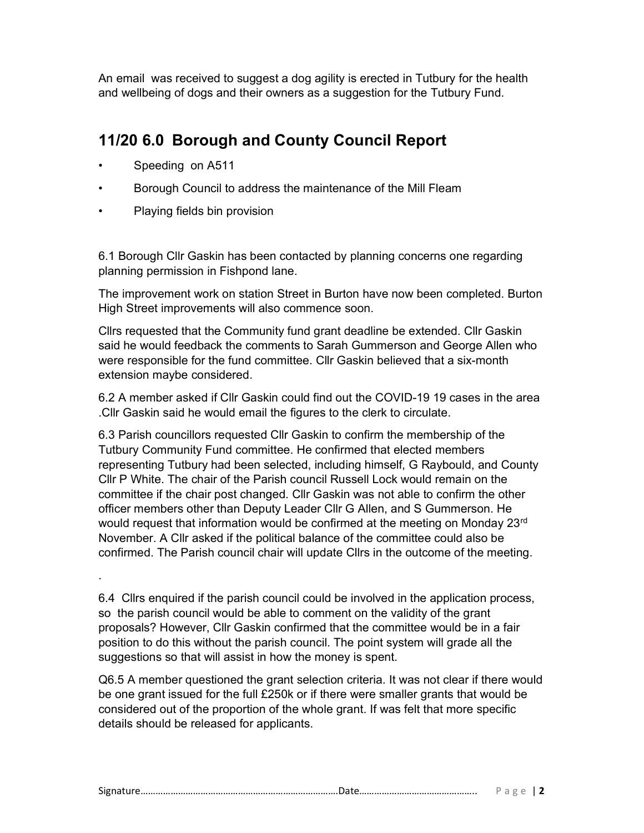An email was received to suggest a dog agility is erected in Tutbury for the health and wellbeing of dogs and their owners as a suggestion for the Tutbury Fund.

# 11/20 6.0 Borough and County Council Report

Speeding on A511

.

- Borough Council to address the maintenance of the Mill Fleam
- Playing fields bin provision

6.1 Borough Cllr Gaskin has been contacted by planning concerns one regarding planning permission in Fishpond lane.

The improvement work on station Street in Burton have now been completed. Burton High Street improvements will also commence soon.

Cllrs requested that the Community fund grant deadline be extended. Cllr Gaskin said he would feedback the comments to Sarah Gummerson and George Allen who were responsible for the fund committee. Cllr Gaskin believed that a six-month extension maybe considered.

6.2 A member asked if Cllr Gaskin could find out the COVID-19 19 cases in the area .Cllr Gaskin said he would email the figures to the clerk to circulate.

6.3 Parish councillors requested Cllr Gaskin to confirm the membership of the Tutbury Community Fund committee. He confirmed that elected members representing Tutbury had been selected, including himself, G Raybould, and County Cllr P White. The chair of the Parish council Russell Lock would remain on the committee if the chair post changed. Cllr Gaskin was not able to confirm the other officer members other than Deputy Leader Cllr G Allen, and S Gummerson. He would request that information would be confirmed at the meeting on Monday 23<sup>rd</sup> November. A Cllr asked if the political balance of the committee could also be confirmed. The Parish council chair will update Cllrs in the outcome of the meeting.

6.4 Cllrs enquired if the parish council could be involved in the application process, so the parish council would be able to comment on the validity of the grant proposals? However, Cllr Gaskin confirmed that the committee would be in a fair position to do this without the parish council. The point system will grade all the suggestions so that will assist in how the money is spent.

Q6.5 A member questioned the grant selection criteria. It was not clear if there would be one grant issued for the full £250k or if there were smaller grants that would be considered out of the proportion of the whole grant. If was felt that more specific details should be released for applicants.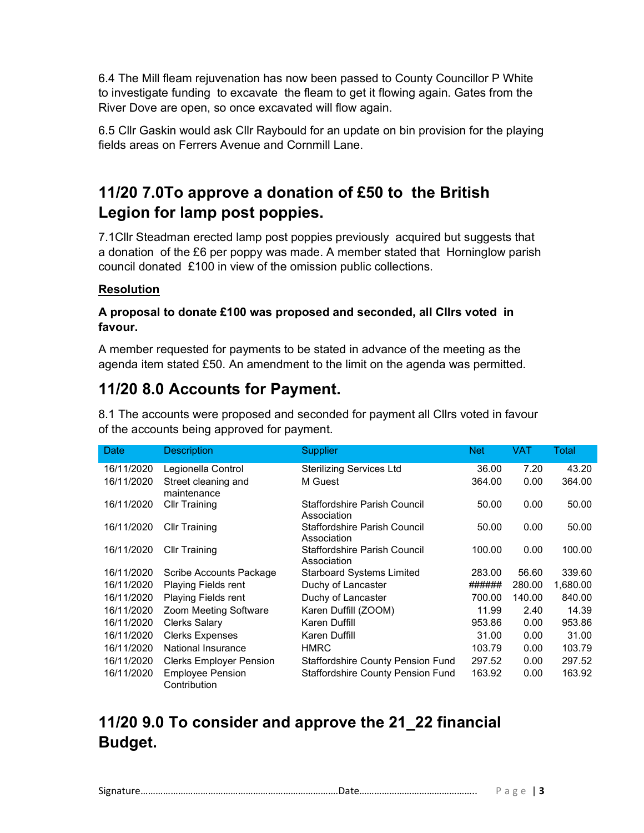6.4 The Mill fleam rejuvenation has now been passed to County Councillor P White to investigate funding to excavate the fleam to get it flowing again. Gates from the River Dove are open, so once excavated will flow again.

6.5 Cllr Gaskin would ask Cllr Raybould for an update on bin provision for the playing fields areas on Ferrers Avenue and Cornmill Lane.

# 11/20 7.0To approve a donation of £50 to the British Legion for lamp post poppies.

7.1Cllr Steadman erected lamp post poppies previously acquired but suggests that a donation of the £6 per poppy was made. A member stated that Horninglow parish council donated £100 in view of the omission public collections.

### Resolution

#### A proposal to donate £100 was proposed and seconded, all Cllrs voted in favour.

A member requested for payments to be stated in advance of the meeting as the agenda item stated £50. An amendment to the limit on the agenda was permitted.

## 11/20 8.0 Accounts for Payment.

8.1 The accounts were proposed and seconded for payment all Cllrs voted in favour of the accounts being approved for payment.

| Date       | <b>Description</b>                      | <b>Supplier</b>                             | <b>Net</b> | VAT    | Total    |
|------------|-----------------------------------------|---------------------------------------------|------------|--------|----------|
| 16/11/2020 | Legionella Control                      | <b>Sterilizing Services Ltd</b>             | 36.00      | 7.20   | 43.20    |
| 16/11/2020 | Street cleaning and<br>maintenance      | M Guest                                     | 364.00     | 0.00   | 364.00   |
| 16/11/2020 | <b>Cllr Training</b>                    | Staffordshire Parish Council<br>Association | 50.00      | 0.00   | 50.00    |
| 16/11/2020 | <b>Cllr Training</b>                    | Staffordshire Parish Council<br>Association | 50.00      | 0.00   | 50.00    |
| 16/11/2020 | <b>Cllr Training</b>                    | Staffordshire Parish Council<br>Association | 100.00     | 0.00   | 100.00   |
| 16/11/2020 | Scribe Accounts Package                 | <b>Starboard Systems Limited</b>            | 283.00     | 56.60  | 339.60   |
| 16/11/2020 | Playing Fields rent                     | Duchy of Lancaster                          | ######     | 280.00 | 1,680.00 |
| 16/11/2020 | Playing Fields rent                     | Duchy of Lancaster                          | 700.00     | 140.00 | 840.00   |
| 16/11/2020 | Zoom Meeting Software                   | Karen Duffill (ZOOM)                        | 11.99      | 2.40   | 14.39    |
| 16/11/2020 | <b>Clerks Salary</b>                    | Karen Duffill                               | 953.86     | 0.00   | 953.86   |
| 16/11/2020 | <b>Clerks Expenses</b>                  | Karen Duffill                               | 31.00      | 0.00   | 31.00    |
| 16/11/2020 | National Insurance                      | <b>HMRC</b>                                 | 103.79     | 0.00   | 103.79   |
| 16/11/2020 | <b>Clerks Employer Pension</b>          | <b>Staffordshire County Pension Fund</b>    | 297.52     | 0.00   | 297.52   |
| 16/11/2020 | <b>Employee Pension</b><br>Contribution | <b>Staffordshire County Pension Fund</b>    | 163.92     | 0.00   | 163.92   |

## 11/20 9.0 To consider and approve the 21\_22 financial Budget.

Signature…………………………………………………………………….Date……………………………………….. P a g e | 3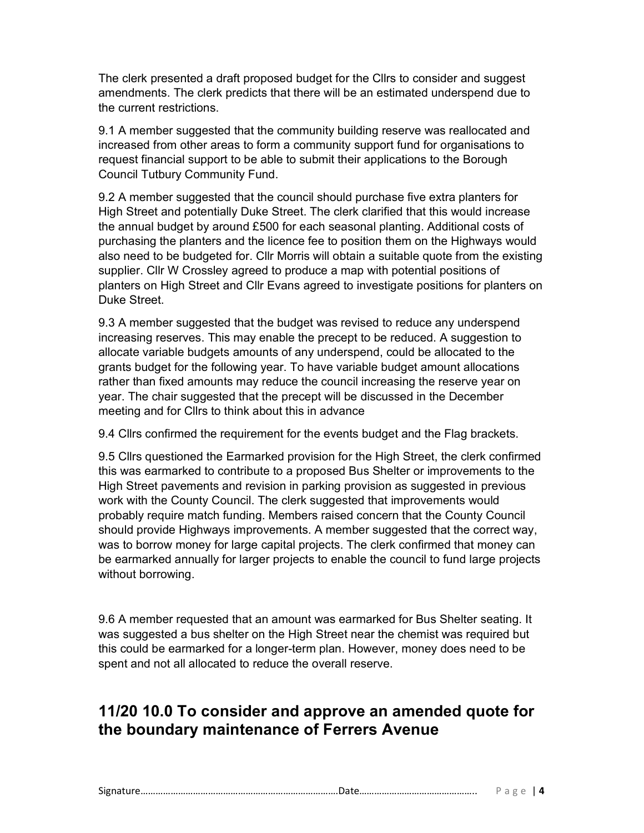The clerk presented a draft proposed budget for the Cllrs to consider and suggest amendments. The clerk predicts that there will be an estimated underspend due to the current restrictions.

9.1 A member suggested that the community building reserve was reallocated and increased from other areas to form a community support fund for organisations to request financial support to be able to submit their applications to the Borough Council Tutbury Community Fund.

9.2 A member suggested that the council should purchase five extra planters for High Street and potentially Duke Street. The clerk clarified that this would increase the annual budget by around £500 for each seasonal planting. Additional costs of purchasing the planters and the licence fee to position them on the Highways would also need to be budgeted for. Cllr Morris will obtain a suitable quote from the existing supplier. Cllr W Crossley agreed to produce a map with potential positions of planters on High Street and Cllr Evans agreed to investigate positions for planters on Duke Street.

9.3 A member suggested that the budget was revised to reduce any underspend increasing reserves. This may enable the precept to be reduced. A suggestion to allocate variable budgets amounts of any underspend, could be allocated to the grants budget for the following year. To have variable budget amount allocations rather than fixed amounts may reduce the council increasing the reserve year on year. The chair suggested that the precept will be discussed in the December meeting and for Cllrs to think about this in advance

9.4 Cllrs confirmed the requirement for the events budget and the Flag brackets.

9.5 Cllrs questioned the Earmarked provision for the High Street, the clerk confirmed this was earmarked to contribute to a proposed Bus Shelter or improvements to the High Street pavements and revision in parking provision as suggested in previous work with the County Council. The clerk suggested that improvements would probably require match funding. Members raised concern that the County Council should provide Highways improvements. A member suggested that the correct way, was to borrow money for large capital projects. The clerk confirmed that money can be earmarked annually for larger projects to enable the council to fund large projects without borrowing.

9.6 A member requested that an amount was earmarked for Bus Shelter seating. It was suggested a bus shelter on the High Street near the chemist was required but this could be earmarked for a longer-term plan. However, money does need to be spent and not all allocated to reduce the overall reserve.

## 11/20 10.0 To consider and approve an amended quote for the boundary maintenance of Ferrers Avenue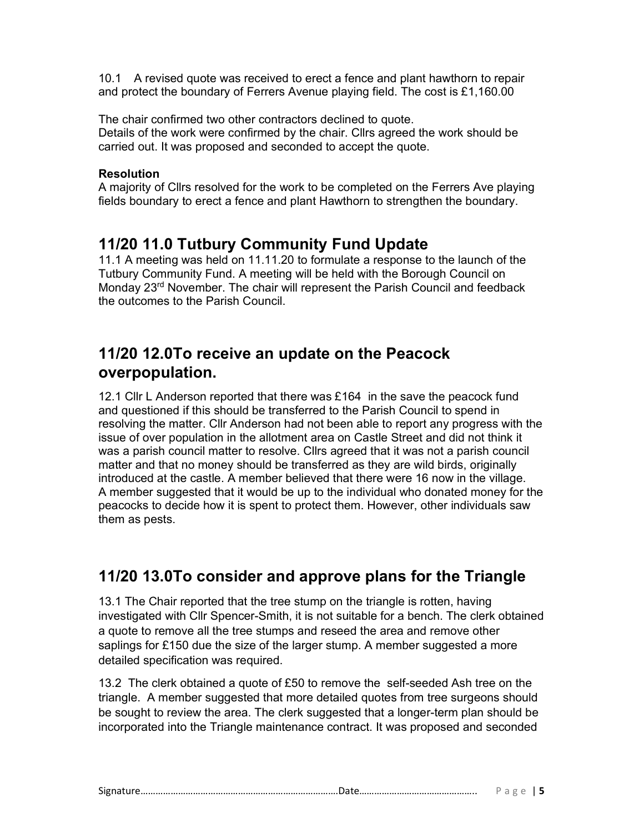10.1 A revised quote was received to erect a fence and plant hawthorn to repair and protect the boundary of Ferrers Avenue playing field. The cost is £1,160.00

The chair confirmed two other contractors declined to quote. Details of the work were confirmed by the chair. Cllrs agreed the work should be carried out. It was proposed and seconded to accept the quote.

#### **Resolution**

A majority of Cllrs resolved for the work to be completed on the Ferrers Ave playing fields boundary to erect a fence and plant Hawthorn to strengthen the boundary.

## 11/20 11.0 Tutbury Community Fund Update

11.1 A meeting was held on 11.11.20 to formulate a response to the launch of the Tutbury Community Fund. A meeting will be held with the Borough Council on Monday 23rd November. The chair will represent the Parish Council and feedback the outcomes to the Parish Council.

## 11/20 12.0To receive an update on the Peacock overpopulation.

12.1 Cllr L Anderson reported that there was £164 in the save the peacock fund and questioned if this should be transferred to the Parish Council to spend in resolving the matter. Cllr Anderson had not been able to report any progress with the issue of over population in the allotment area on Castle Street and did not think it was a parish council matter to resolve. Cllrs agreed that it was not a parish council matter and that no money should be transferred as they are wild birds, originally introduced at the castle. A member believed that there were 16 now in the village. A member suggested that it would be up to the individual who donated money for the peacocks to decide how it is spent to protect them. However, other individuals saw them as pests.

## 11/20 13.0To consider and approve plans for the Triangle

13.1 The Chair reported that the tree stump on the triangle is rotten, having investigated with Cllr Spencer-Smith, it is not suitable for a bench. The clerk obtained a quote to remove all the tree stumps and reseed the area and remove other saplings for £150 due the size of the larger stump. A member suggested a more detailed specification was required.

13.2 The clerk obtained a quote of £50 to remove the self-seeded Ash tree on the triangle. A member suggested that more detailed quotes from tree surgeons should be sought to review the area. The clerk suggested that a longer-term plan should be incorporated into the Triangle maintenance contract. It was proposed and seconded